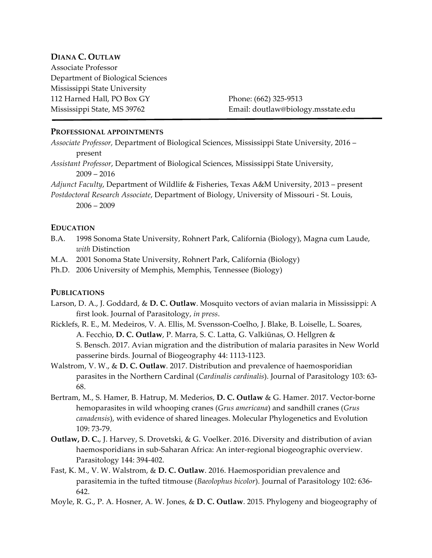## **DIANA C. OUTLAW**

Associate Professor Department of Biological Sciences Mississippi State University 112 Harned Hall, PO Box GY Phone: (662) 325-9513

Mississippi State, MS 39762 Email: doutlaw@biology.msstate.edu

### **PROFESSIONAL APPOINTMENTS**

*Associate Professor,* Department of Biological Sciences, Mississippi State University, 2016 – present

*Assistant Professor*, Department of Biological Sciences, Mississippi State University, 2009 – 2016

*Adjunct Faculty*, Department of Wildlife & Fisheries, Texas A&M University, 2013 – present *Postdoctoral Research Associate*, Department of Biology, University of Missouri - St. Louis, 2006 – 2009

#### **EDUCATION**

- B.A. 1998 Sonoma State University, Rohnert Park, California (Biology), Magna cum Laude, *with* Distinction
- M.A. 2001 Sonoma State University, Rohnert Park, California (Biology)
- Ph.D. 2006 University of Memphis, Memphis, Tennessee (Biology)

#### **PUBLICATIONS**

- Larson, D. A., J. Goddard, & **D. C. Outlaw**. Mosquito vectors of avian malaria in Mississippi: A first look. Journal of Parasitology, *in press*.
- Ricklefs, R. E., M. Medeiros, V. A. Ellis, M. Svensson-Coelho, J. Blake, B. Loiselle, L. Soares, A. Fecchio, **D. C. Outlaw**, P. Marra, S. C. Latta, G. Valkiūnas, O. Hellgren & S. Bensch. 2017. Avian migration and the distribution of malaria parasites in New World passerine birds. Journal of Biogeography 44: 1113-1123.
- Walstrom, V. W., & **D. C. Outlaw**. 2017. Distribution and prevalence of haemosporidian parasites in the Northern Cardinal (*Cardinalis cardinalis*). Journal of Parasitology 103: 63- 68.
- Bertram, M., S. Hamer, B. Hatrup, M. Mederios, **D. C. Outlaw** & G. Hamer. 2017. Vector-borne hemoparasites in wild whooping cranes (*Grus americana*) and sandhill cranes (*Grus canadensis*), with evidence of shared lineages. Molecular Phylogenetics and Evolution 109: 73-79.
- **Outlaw, D. C.**, J. Harvey, S. Drovetski, & G. Voelker. 2016. Diversity and distribution of avian haemosporidians in sub-Saharan Africa: An inter-regional biogeographic overview. Parasitology 144: 394-402.
- Fast, K. M., V. W. Walstrom, & **D. C. Outlaw**. 2016. Haemosporidian prevalence and parasitemia in the tufted titmouse (*Baeolophus bicolor*). Journal of Parasitology 102: 636- 642.
- Moyle, R. G., P. A. Hosner, A. W. Jones, & **D. C. Outlaw**. 2015. Phylogeny and biogeography of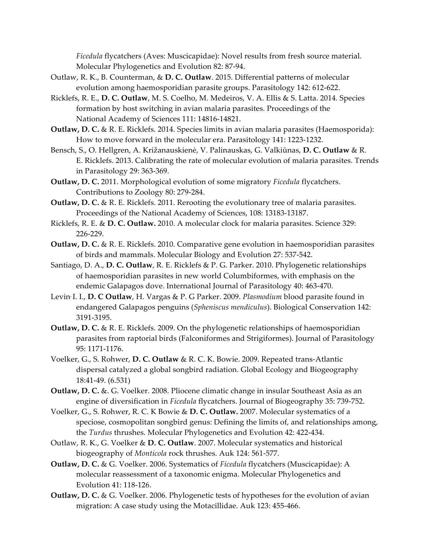*Ficedula* flycatchers (Aves: Muscicapidae): Novel results from fresh source material. Molecular Phylogenetics and Evolution 82: 87-94.

- Outlaw, R. K., B. Counterman, & **D. C. Outlaw**. 2015. Differential patterns of molecular evolution among haemosporidian parasite groups. Parasitology 142: 612-622.
- Ricklefs, R. E., **D. C. Outlaw**, M. S. Coelho, M. Medeiros, V. A. Ellis & S. Latta. 2014. Species formation by host switching in avian malaria parasites. Proceedings of the National Academy of Sciences 111: 14816-14821.
- **Outlaw, D. C.** & R. E. Ricklefs. 2014. Species limits in avian malaria parasites (Haemosporida): How to move forward in the molecular era. Parasitology 141: 1223-1232.
- Bensch, S., O. Hellgren, A. Križanauskienė, V. Palinauskas, G. Valkiūnas, **D. C. Outlaw** & R. E. Ricklefs. 2013. Calibrating the rate of molecular evolution of malaria parasites. Trends in Parasitology 29: 363-369.
- **Outlaw, D. C.** 2011. Morphological evolution of some migratory *Ficedula* flycatchers. Contributions to Zoology 80: 279-284.
- **Outlaw, D. C.** & R. E. Ricklefs. 2011. Rerooting the evolutionary tree of malaria parasites. Proceedings of the National Academy of Sciences, 108: 13183-13187.
- Ricklefs, R. E. & **D. C. Outlaw.** 2010. A molecular clock for malaria parasites. Science 329: 226-229.
- **Outlaw, D. C.** & R. E. Ricklefs. 2010. Comparative gene evolution in haemosporidian parasites of birds and mammals. Molecular Biology and Evolution 27: 537-542.
- Santiago, D. A., **D. C. Outlaw**, R. E. Ricklefs & P. G. Parker. 2010. Phylogenetic relationships of haemosporidian parasites in new world Columbiformes, with emphasis on the endemic Galapagos dove. International Journal of Parasitology 40: 463-470.
- Levin, I. I., **D. C Outlaw**, H. Vargas & P. G Parker. 2009. *Plasmodium* blood parasite found in endangered Galapagos penguins (*Spheniscus mendiculus*). Biological Conservation 142: 3191-3195.
- **Outlaw, D. C.** & R. E. Ricklefs. 2009. On the phylogenetic relationships of haemosporidian parasites from raptorial birds (Falconiformes and Strigiformes). Journal of Parasitology 95: 1171-1176.
- Voelker, G., S. Rohwer, **D. C. Outlaw** & R. C. K. Bowie. 2009. Repeated trans-Atlantic dispersal catalyzed a global songbird radiation. Global Ecology and Biogeography 18:41-49. (6.531)
- **Outlaw, D. C.** &. G. Voelker. 2008. Pliocene climatic change in insular Southeast Asia as an engine of diversification in *Ficedula* flycatchers. Journal of Biogeography 35: 739-752.
- Voelker, G., S. Rohwer, R. C. K Bowie & **D. C. Outlaw.** 2007. Molecular systematics of a speciose, cosmopolitan songbird genus: Defining the limits of, and relationships among, the *Turdus* thrushes. Molecular Phylogenetics and Evolution 42: 422-434.
- Outlaw, R. K., G. Voelker & **D. C. Outlaw**. 2007. Molecular systematics and historical biogeography of *Monticola* rock thrushes. Auk 124: 561-577*.*
- **Outlaw, D. C.** & G. Voelker. 2006. Systematics of *Ficedula* flycatchers (Muscicapidae): A molecular reassessment of a taxonomic enigma. Molecular Phylogenetics and Evolution 41: 118-126.
- **Outlaw, D. C.** & G. Voelker. 2006. Phylogenetic tests of hypotheses for the evolution of avian migration: A case study using the Motacillidae. Auk 123: 455-466.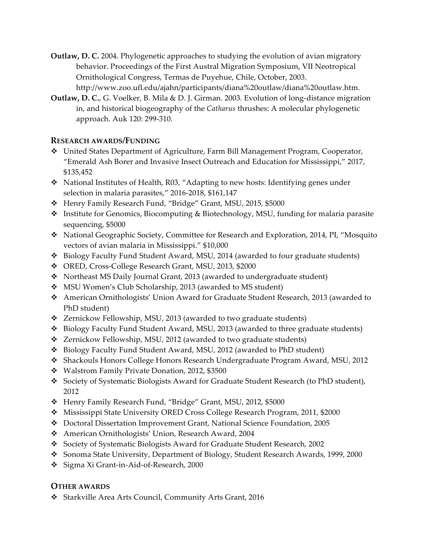- **Outlaw, D. C.** 2004. Phylogenetic approaches to studying the evolution of avian migratory behavior. Proceedings of the First Austral Migration Symposium, VII Neotropical Ornithological Congress, Termas de Puyehue, Chile, October, 2003. http://www.zoo.ufl.edu/ajahn/participants/diana%20outlaw/diana%20outlaw.htm.
- **Outlaw, D. C.**, G. Voelker, B. Mila & D. J. Girman. 2003. Evolution of long-distance migration in, and historical biogeography of the *Catharus* thrushes: A molecular phylogenetic approach. Auk 120: 299-310.

# **RESEARCH AWARDS/FUNDING**

- v United States Department of Agriculture, Farm Bill Management Program, Cooperator, "Emerald Ash Borer and Invasive Insect Outreach and Education for Mississippi," 2017, \$135,452
- v National Institutes of Health, R03, "Adapting to new hosts: Identifying genes under selection in malaria parasites," 2016-2018, \$161,147
- v Henry Family Research Fund, "Bridge" Grant, MSU, 2015, \$5000
- \* Institute for Genomics, Biocomputing & Biotechnology, MSU, funding for malaria parasite sequencing, \$5000
- v National Geographic Society, Committee for Research and Exploration, 2014, PI, "Mosquito vectors of avian malaria in Mississippi." \$10,000
- \* Biology Faculty Fund Student Award, MSU, 2014 (awarded to four graduate students)
- v ORED, Cross-College Research Grant, MSU, 2013, \$2000
- v Northeast MS Daily Journal Grant, 2013 (awarded to undergraduate student)
- \* MSU Women's Club Scholarship, 2013 (awarded to MS student)
- v American Ornithologists' Union Award for Graduate Student Research, 2013 (awarded to PhD student)
- \* Zernickow Fellowship, MSU, 2013 (awarded to two graduate students)
- \* Biology Faculty Fund Student Award, MSU, 2013 (awarded to three graduate students)
- v Zernickow Fellowship, MSU, 2012 (awarded to two graduate students)
- v Biology Faculty Fund Student Award, MSU, 2012 (awarded to PhD student)
- v Shackouls Honors College Honors Research Undergraduate Program Award, MSU, 2012
- v Walstrom Family Private Donation, 2012, \$3500
- v Society of Systematic Biologists Award for Graduate Student Research (to PhD student), 2012
- \* Henry Family Research Fund, "Bridge" Grant, MSU, 2012, \$5000
- v Mississippi State University ORED Cross College Research Program, 2011, \$2000
- v Doctoral Dissertation Improvement Grant, National Science Foundation, 2005
- \* American Ornithologists' Union, Research Award, 2004
- \* Society of Systematic Biologists Award for Graduate Student Research, 2002
- \* Sonoma State University, Department of Biology, Student Research Awards, 1999, 2000
- v Sigma Xi Grant-in-Aid-of-Research, 2000

# **OTHER AWARDS**

v Starkville Area Arts Council, Community Arts Grant, 2016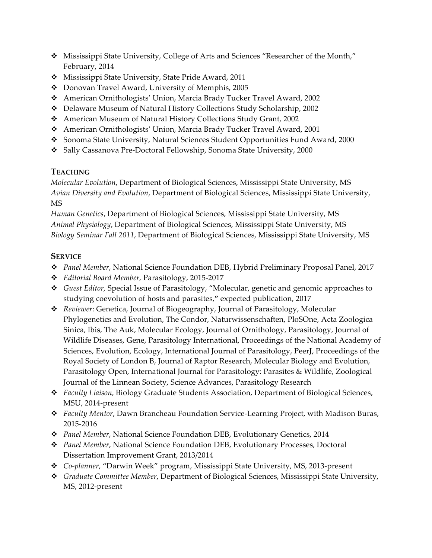- \* Mississippi State University, College of Arts and Sciences "Researcher of the Month," February, 2014
- \* Mississippi State University, State Pride Award, 2011
- \* Donovan Travel Award, University of Memphis, 2005
- v American Ornithologists' Union, Marcia Brady Tucker Travel Award, 2002
- v Delaware Museum of Natural History Collections Study Scholarship, 2002
- v American Museum of Natural History Collections Study Grant, 2002
- v American Ornithologists' Union, Marcia Brady Tucker Travel Award, 2001
- \* Sonoma State University, Natural Sciences Student Opportunities Fund Award, 2000
- v Sally Cassanova Pre-Doctoral Fellowship, Sonoma State University, 2000

# **TEACHING**

*Molecular Evolution*, Department of Biological Sciences, Mississippi State University, MS *Avian Diversity and Evolution*, Department of Biological Sciences, Mississippi State University, MS

*Human Genetics*, Department of Biological Sciences, Mississippi State University, MS *Animal Physiology*, Department of Biological Sciences, Mississippi State University, MS *Biology Seminar Fall 2011*, Department of Biological Sciences, Mississippi State University, MS

# **SERVICE**

- v *Panel Member*, National Science Foundation DEB, Hybrid Preliminary Proposal Panel, 2017
- v *Editorial Board Member,* Parasitology, 2015-2017
- v *Guest Editor,* Special Issue of Parasitology, "Molecular, genetic and genomic approaches to studying coevolution of hosts and parasites,**"** expected publication, 2017
- v *Reviewer*: Genetica, Journal of Biogeography, Journal of Parasitology, Molecular Phylogenetics and Evolution, The Condor, Naturwissenschaften, PloSOne, Acta Zoologica Sinica, Ibis, The Auk, Molecular Ecology, Journal of Ornithology, Parasitology, Journal of Wildlife Diseases, Gene, Parasitology International, Proceedings of the National Academy of Sciences, Evolution, Ecology, International Journal of Parasitology, PeerJ, Proceedings of the Royal Society of London B, Journal of Raptor Research, Molecular Biology and Evolution, Parasitology Open, International Journal for Parasitology: Parasites & Wildlife, Zoological Journal of the Linnean Society, Science Advances, Parasitology Research
- v *Faculty Liaison,* Biology Graduate Students Association*,* Department of Biological Sciences, MSU, 2014-present
- v *Faculty Mentor*, Dawn Brancheau Foundation Service-Learning Project, with Madison Buras, 2015-2016
- v *Panel Member*, National Science Foundation DEB, Evolutionary Genetics, 2014
- v *Panel Member*, National Science Foundation DEB, Evolutionary Processes, Doctoral Dissertation Improvement Grant, 2013/2014
- v *Co-planner*, "Darwin Week" program, Mississippi State University, MS, 2013-present
- v *Graduate Committee Member*, Department of Biological Sciences, Mississippi State University, MS, 2012-present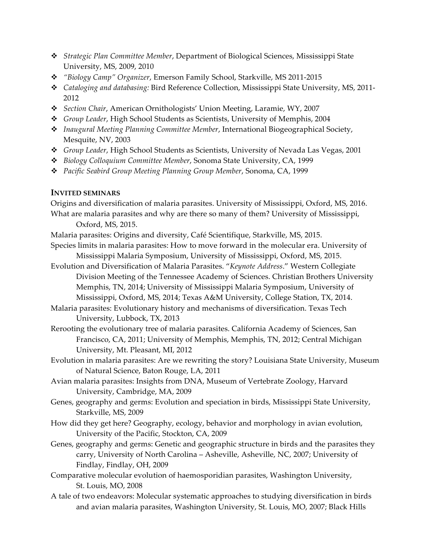- v *Strategic Plan Committee Member*, Department of Biological Sciences, Mississippi State University, MS, 2009, 2010
- v *"Biology Camp" Organizer*, Emerson Family School, Starkville, MS 2011-2015
- v *Cataloging and databasing:* Bird Reference Collection, Mississippi State University, MS, 2011- 2012
- v *Section Chair*, American Ornithologists' Union Meeting, Laramie, WY, 2007
- v *Group Leader*, High School Students as Scientists, University of Memphis, 2004
- v *Inaugural Meeting Planning Committee Member*, International Biogeographical Society, Mesquite, NV, 2003
- v *Group Leader*, High School Students as Scientists, University of Nevada Las Vegas, 2001
- v *Biology Colloquium Committee Member*, Sonoma State University, CA, 1999
- v *Pacific Seabird Group Meeting Planning Group Member*, Sonoma, CA, 1999

## **INVITED SEMINARS**

Origins and diversification of malaria parasites. University of Mississippi, Oxford, MS, 2016. What are malaria parasites and why are there so many of them? University of Mississippi, Oxford, MS, 2015.

Malaria parasites: Origins and diversity, Café Scientifique, Starkville, MS, 2015.

- Species limits in malaria parasites: How to move forward in the molecular era. University of Mississippi Malaria Symposium, University of Mississippi, Oxford, MS, 2015.
- Evolution and Diversification of Malaria Parasites. "*Keynote Address*." Western Collegiate Division Meeting of the Tennessee Academy of Sciences. Christian Brothers University Memphis, TN, 2014; University of Mississippi Malaria Symposium, University of Mississippi, Oxford, MS, 2014; Texas A&M University, College Station, TX, 2014.

Malaria parasites: Evolutionary history and mechanisms of diversification. Texas Tech University, Lubbock, TX, 2013

- Rerooting the evolutionary tree of malaria parasites. California Academy of Sciences, San Francisco, CA, 2011; University of Memphis, Memphis, TN, 2012; Central Michigan University, Mt. Pleasant, MI, 2012
- Evolution in malaria parasites: Are we rewriting the story? Louisiana State University, Museum of Natural Science, Baton Rouge, LA, 2011
- Avian malaria parasites: Insights from DNA, Museum of Vertebrate Zoology, Harvard University, Cambridge, MA, 2009
- Genes, geography and germs: Evolution and speciation in birds, Mississippi State University, Starkville, MS, 2009
- How did they get here? Geography, ecology, behavior and morphology in avian evolution, University of the Pacific, Stockton, CA, 2009
- Genes, geography and germs: Genetic and geographic structure in birds and the parasites they carry, University of North Carolina – Asheville, Asheville, NC, 2007; University of Findlay, Findlay, OH, 2009
- Comparative molecular evolution of haemosporidian parasites, Washington University, St. Louis, MO, 2008
- A tale of two endeavors: Molecular systematic approaches to studying diversification in birds and avian malaria parasites, Washington University, St. Louis, MO, 2007; Black Hills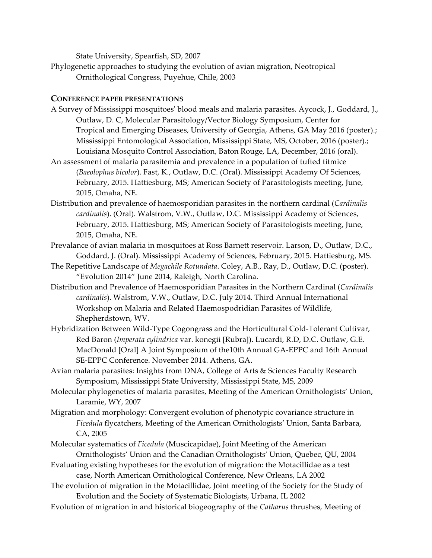State University, Spearfish, SD, 2007

Phylogenetic approaches to studying the evolution of avian migration, Neotropical Ornithological Congress, Puyehue, Chile, 2003

## **CONFERENCE PAPER PRESENTATIONS**

- A Survey of Mississippi mosquitoes' blood meals and malaria parasites. Aycock, J., Goddard, J., Outlaw, D. C, Molecular Parasitology/Vector Biology Symposium, Center for Tropical and Emerging Diseases, University of Georgia, Athens, GA May 2016 (poster).; Mississippi Entomological Association, Mississippi State, MS, October, 2016 (poster).; Louisiana Mosquito Control Association, Baton Rouge, LA, December, 2016 (oral).
- An assessment of malaria parasitemia and prevalence in a population of tufted titmice (*Baeolophus bicolor*). Fast, K., Outlaw, D.C. (Oral). Mississippi Academy Of Sciences, February, 2015. Hattiesburg, MS; American Society of Parasitologists meeting, June, 2015, Omaha, NE.
- Distribution and prevalence of haemosporidian parasites in the northern cardinal (*Cardinalis cardinalis*). (Oral). Walstrom, V.W., Outlaw, D.C. Mississippi Academy of Sciences, February, 2015. Hattiesburg, MS; American Society of Parasitologists meeting, June, 2015, Omaha, NE.
- Prevalance of avian malaria in mosquitoes at Ross Barnett reservoir. Larson, D., Outlaw, D.C., Goddard, J. (Oral). Mississippi Academy of Sciences, February, 2015. Hattiesburg, MS.
- The Repetitive Landscape of *Megachile Rotundata*. Coley, A.B., Ray, D., Outlaw, D.C. (poster). "Evolution 2014" June 2014, Raleigh, North Carolina.
- Distribution and Prevalence of Haemosporidian Parasites in the Northern Cardinal (*Cardinalis cardinalis*). Walstrom, V.W., Outlaw, D.C. July 2014. Third Annual International Workshop on Malaria and Related Haemospodridian Parasites of Wildlife, Shepherdstown, WV.
- Hybridization Between Wild-Type Cogongrass and the Horticultural Cold-Tolerant Cultivar, Red Baron (*Imperata cylindrica* var. konegii [Rubra]). Lucardi, R.D, D.C. Outlaw, G.E. MacDonald [Oral] A Joint Symposium of the10th Annual GA-EPPC and 16th Annual SE-EPPC Conference. November 2014. Athens, GA.
- Avian malaria parasites: Insights from DNA, College of Arts & Sciences Faculty Research Symposium, Mississippi State University, Mississippi State, MS, 2009
- Molecular phylogenetics of malaria parasites, Meeting of the American Ornithologists' Union, Laramie, WY, 2007
- Migration and morphology: Convergent evolution of phenotypic covariance structure in *Ficedula* flycatchers, Meeting of the American Ornithologists' Union, Santa Barbara, CA, 2005
- Molecular systematics of *Ficedula* (Muscicapidae), Joint Meeting of the American Ornithologists' Union and the Canadian Ornithologists' Union, Quebec, QU, 2004
- Evaluating existing hypotheses for the evolution of migration: the Motacillidae as a test case, North American Ornithological Conference, New Orleans, LA 2002
- The evolution of migration in the Motacillidae, Joint meeting of the Society for the Study of Evolution and the Society of Systematic Biologists, Urbana, IL 2002
- Evolution of migration in and historical biogeography of the *Catharus* thrushes, Meeting of